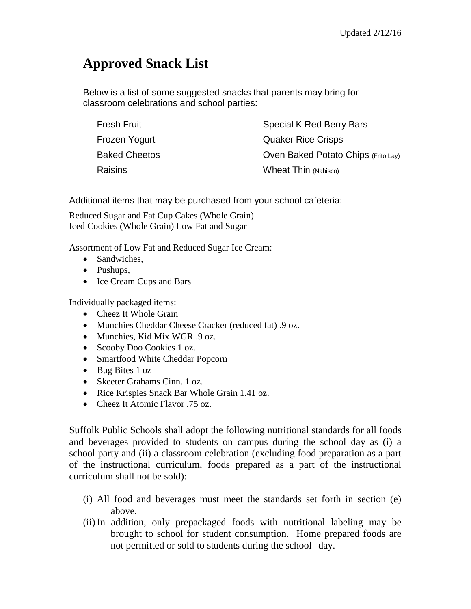## **Approved Snack List**

Below is a list of some suggested snacks that parents may bring for classroom celebrations and school parties:

| Fresh Fruit          | Special K Red Berry Bars            |
|----------------------|-------------------------------------|
| Frozen Yogurt        | <b>Quaker Rice Crisps</b>           |
| <b>Baked Cheetos</b> | Oven Baked Potato Chips (Frito Lay) |
| Raisins              | Wheat Thin (Nabisco)                |

Additional items that may be purchased from your school cafeteria:

Reduced Sugar and Fat Cup Cakes (Whole Grain) Iced Cookies (Whole Grain) Low Fat and Sugar

Assortment of Low Fat and Reduced Sugar Ice Cream:

- Sandwiches.
- Pushups,
- Ice Cream Cups and Bars

Individually packaged items:

- Cheez It Whole Grain
- Munchies Cheddar Cheese Cracker (reduced fat) .9 oz.
- Munchies, Kid Mix WGR .9 oz.
- Scooby Doo Cookies 1 oz.
- Smartfood White Cheddar Popcorn
- Bug Bites 1 oz
- Skeeter Grahams Cinn. 1 oz.
- Rice Krispies Snack Bar Whole Grain 1.41 oz.
- Cheez It Atomic Flavor .75 oz.

Suffolk Public Schools shall adopt the following nutritional standards for all foods and beverages provided to students on campus during the school day as (i) a school party and (ii) a classroom celebration (excluding food preparation as a part of the instructional curriculum, foods prepared as a part of the instructional curriculum shall not be sold):

- (i) All food and beverages must meet the standards set forth in section (e) above.
- (ii) In addition, only prepackaged foods with nutritional labeling may be brought to school for student consumption. Home prepared foods are not permitted or sold to students during the school day.